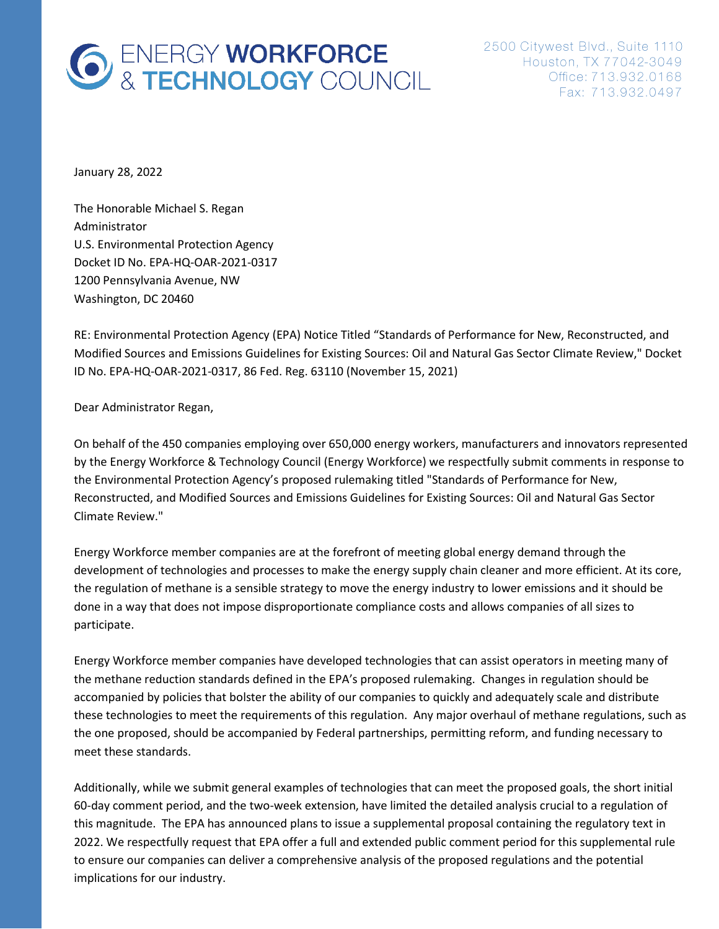# **6** ENERGY WORKFORCE<br>& TECHNOLOGY COUNCIL

January 28, 2022

The Honorable Michael S. Regan Administrator U.S. Environmental Protection Agency Docket ID No. EPA-HQ-OAR-2021-0317 1200 Pennsylvania Avenue, NW Washington, DC 20460

RE: Environmental Protection Agency (EPA) Notice Titled "Standards of Performance for New, Reconstructed, and Modified Sources and Emissions Guidelines for Existing Sources: Oil and Natural Gas Sector Climate Review," Docket ID No. EPA-HQ-OAR-2021-0317, 86 Fed. Reg. 63110 (November 15, 2021)

Dear Administrator Regan,

On behalf of the 450 companies employing over 650,000 energy workers, manufacturers and innovators represented by the Energy Workforce & Technology Council (Energy Workforce) we respectfully submit comments in response to the Environmental Protection Agency's proposed rulemaking titled "Standards of Performance for New, Reconstructed, and Modified Sources and Emissions Guidelines for Existing Sources: Oil and Natural Gas Sector Climate Review."

Energy Workforce member companies are at the forefront of meeting global energy demand through the development of technologies and processes to make the energy supply chain cleaner and more efficient. At its core, the regulation of methane is a sensible strategy to move the energy industry to lower emissions and it should be done in a way that does not impose disproportionate compliance costs and allows companies of all sizes to participate.

Energy Workforce member companies have developed technologies that can assist operators in meeting many of the methane reduction standards defined in the EPA's proposed rulemaking. Changes in regulation should be accompanied by policies that bolster the ability of our companies to quickly and adequately scale and distribute these technologies to meet the requirements of this regulation. Any major overhaul of methane regulations, such as the one proposed, should be accompanied by Federal partnerships, permitting reform, and funding necessary to meet these standards.

Additionally, while we submit general examples of technologies that can meet the proposed goals, the short initial 60-day comment period, and the two-week extension, have limited the detailed analysis crucial to a regulation of this magnitude. The EPA has announced plans to issue a supplemental proposal containing the regulatory text in 2022. We respectfully request that EPA offer a full and extended public comment period for this supplemental rule to ensure our companies can deliver a comprehensive analysis of the proposed regulations and the potential implications for our industry.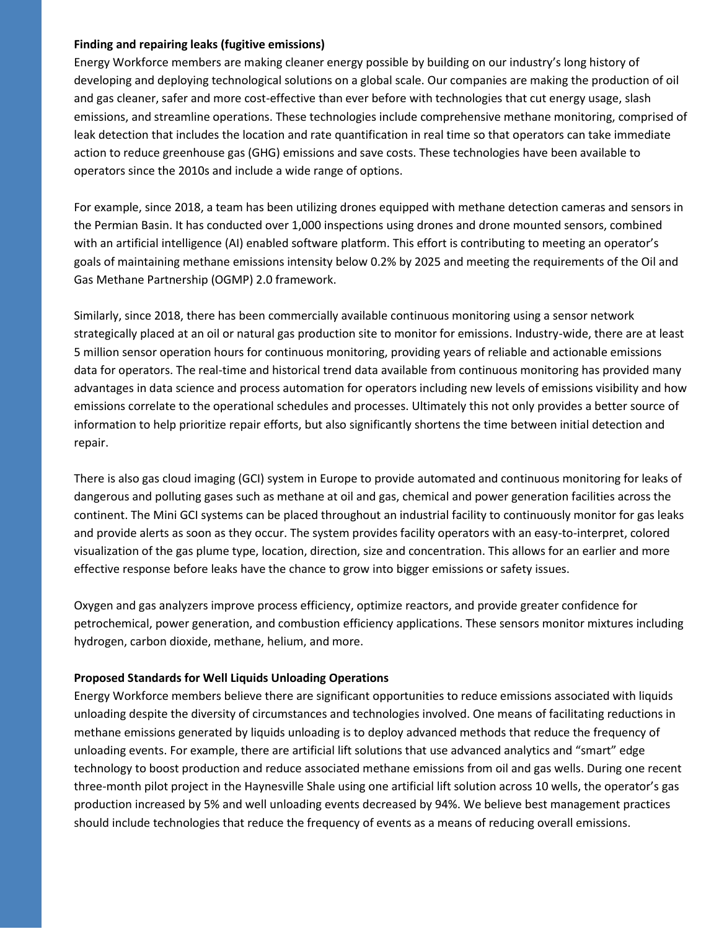#### **Finding and repairing leaks (fugitive emissions)**

Energy Workforce members are making cleaner energy possible by building on our industry's long history of developing and deploying technological solutions on a global scale. Our companies are making the production of oil and gas cleaner, safer and more cost-effective than ever before with technologies that cut energy usage, slash emissions, and streamline operations. These technologies include comprehensive methane monitoring, comprised of leak detection that includes the location and rate quantification in real time so that operators can take immediate action to reduce greenhouse gas (GHG) emissions and save costs. These technologies have been available to operators since the 2010s and include a wide range of options.

For example, since 2018, a team has been utilizing drones equipped with methane detection cameras and sensors in the Permian Basin. It has conducted over 1,000 inspections using drones and drone mounted sensors, combined with an artificial intelligence (AI) enabled software platform. This effort is contributing to meeting an operator's goals of maintaining methane emissions intensity below 0.2% by 2025 and meeting the requirements of the Oil and Gas Methane Partnership (OGMP) 2.0 framework.

Similarly, since 2018, there has been commercially available continuous monitoring using a sensor network strategically placed at an oil or natural gas production site to monitor for emissions. Industry-wide, there are at least 5 million sensor operation hours for continuous monitoring, providing years of reliable and actionable emissions data for operators. The real-time and historical trend data available from continuous monitoring has provided many advantages in data science and process automation for operators including new levels of emissions visibility and how emissions correlate to the operational schedules and processes. Ultimately this not only provides a better source of information to help prioritize repair efforts, but also significantly shortens the time between initial detection and repair.

There is also gas cloud imaging (GCI) system in Europe to provide automated and continuous monitoring for leaks of dangerous and polluting gases such as methane at oil and gas, chemical and power generation facilities across the continent. The Mini GCI systems can be placed throughout an industrial facility to continuously monitor for gas leaks and provide alerts as soon as they occur. The system provides facility operators with an easy-to-interpret, colored visualization of the gas plume type, location, direction, size and concentration. This allows for an earlier and more effective response before leaks have the chance to grow into bigger emissions or safety issues.

Oxygen and gas analyzers improve process efficiency, optimize reactors, and provide greater confidence for petrochemical, power generation, and combustion efficiency applications. These sensors monitor mixtures including hydrogen, carbon dioxide, methane, helium, and more.

# **Proposed Standards for Well Liquids Unloading Operations**

Energy Workforce members believe there are significant opportunities to reduce emissions associated with liquids unloading despite the diversity of circumstances and technologies involved. One means of facilitating reductions in methane emissions generated by liquids unloading is to deploy advanced methods that reduce the frequency of unloading events. For example, there are artificial lift solutions that use advanced analytics and "smart" edge technology to boost production and reduce associated methane emissions from oil and gas wells. During one recent three-month pilot project in the Haynesville Shale using one artificial lift solution across 10 wells, the operator's gas production increased by 5% and well unloading events decreased by 94%. We believe best management practices should include technologies that reduce the frequency of events as a means of reducing overall emissions.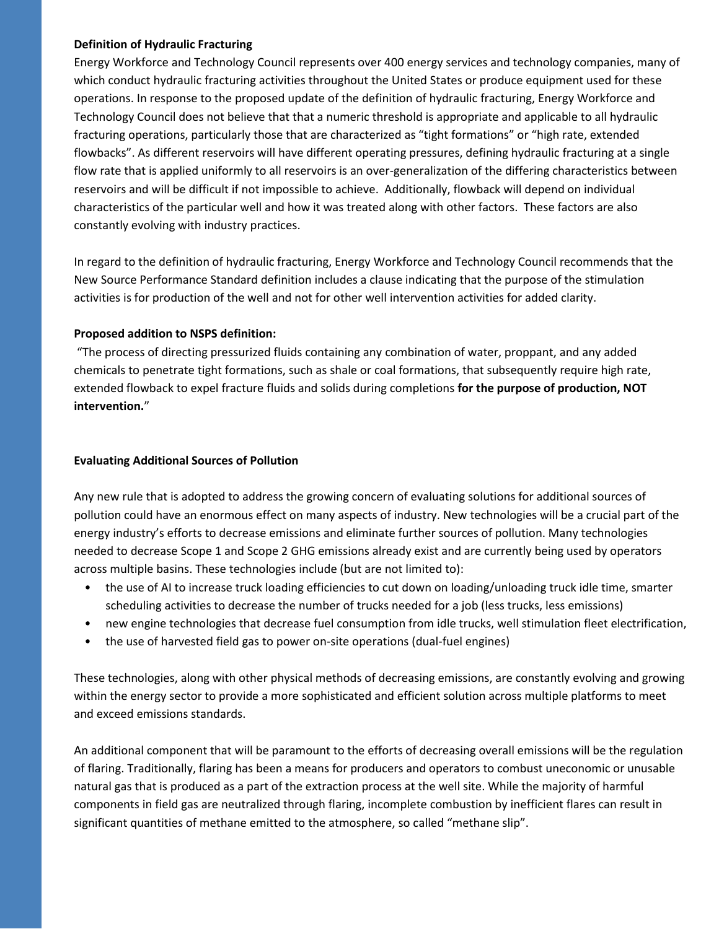# **Definition of Hydraulic Fracturing**

Energy Workforce and Technology Council represents over 400 energy services and technology companies, many of which conduct hydraulic fracturing activities throughout the United States or produce equipment used for these operations. In response to the proposed update of the definition of hydraulic fracturing, Energy Workforce and Technology Council does not believe that that a numeric threshold is appropriate and applicable to all hydraulic fracturing operations, particularly those that are characterized as "tight formations" or "high rate, extended flowbacks". As different reservoirs will have different operating pressures, defining hydraulic fracturing at a single flow rate that is applied uniformly to all reservoirs is an over-generalization of the differing characteristics between reservoirs and will be difficult if not impossible to achieve. Additionally, flowback will depend on individual characteristics of the particular well and how it was treated along with other factors. These factors are also constantly evolving with industry practices.

In regard to the definition of hydraulic fracturing, Energy Workforce and Technology Council recommends that the New Source Performance Standard definition includes a clause indicating that the purpose of the stimulation activities is for production of the well and not for other well intervention activities for added clarity.

# **Proposed addition to NSPS definition:**

"The process of directing pressurized fluids containing any combination of water, proppant, and any added chemicals to penetrate tight formations, such as shale or coal formations, that subsequently require high rate, extended flowback to expel fracture fluids and solids during completions **for the purpose of production, NOT intervention.**"

# **Evaluating Additional Sources of Pollution**

Any new rule that is adopted to address the growing concern of evaluating solutions for additional sources of pollution could have an enormous effect on many aspects of industry. New technologies will be a crucial part of the energy industry's efforts to decrease emissions and eliminate further sources of pollution. Many technologies needed to decrease Scope 1 and Scope 2 GHG emissions already exist and are currently being used by operators across multiple basins. These technologies include (but are not limited to):

- the use of AI to increase truck loading efficiencies to cut down on loading/unloading truck idle time, smarter scheduling activities to decrease the number of trucks needed for a job (less trucks, less emissions)
- new engine technologies that decrease fuel consumption from idle trucks, well stimulation fleet electrification,
- the use of harvested field gas to power on-site operations (dual-fuel engines)

These technologies, along with other physical methods of decreasing emissions, are constantly evolving and growing within the energy sector to provide a more sophisticated and efficient solution across multiple platforms to meet and exceed emissions standards.

An additional component that will be paramount to the efforts of decreasing overall emissions will be the regulation of flaring. Traditionally, flaring has been a means for producers and operators to combust uneconomic or unusable natural gas that is produced as a part of the extraction process at the well site. While the majority of harmful components in field gas are neutralized through flaring, incomplete combustion by inefficient flares can result in significant quantities of methane emitted to the atmosphere, so called "methane slip".